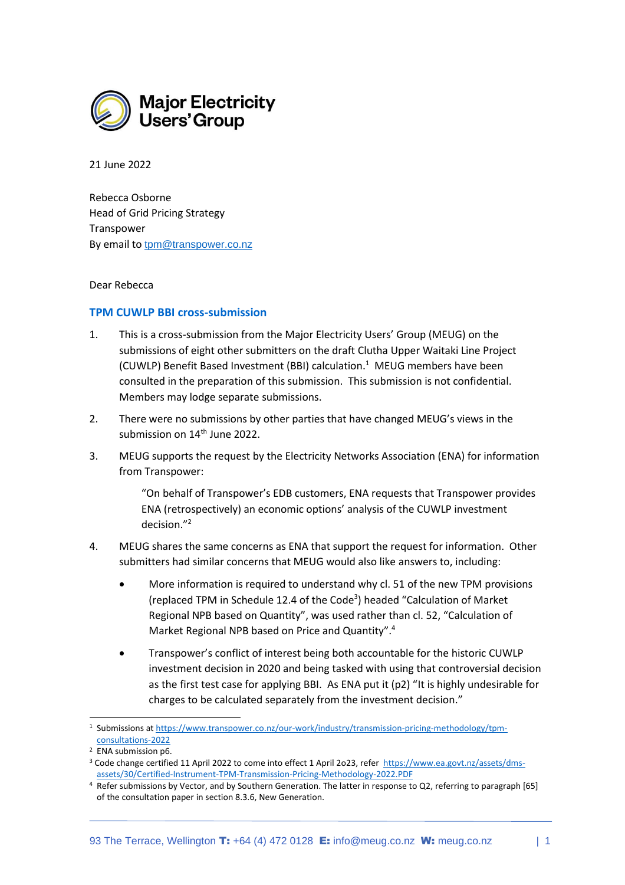

21 June 2022

Rebecca Osborne Head of Grid Pricing Strategy Transpower By email to [tpm@transpower.co.nz](mailto:tpm@transpower.co.nz)

## Dear Rebecca

## **TPM CUWLP BBI cross-submission**

- 1. This is a cross-submission from the Major Electricity Users' Group (MEUG) on the submissions of eight other submitters on the draft Clutha Upper Waitaki Line Project (CUWLP) Benefit Based Investment (BBI) calculation. 1 MEUG members have been consulted in the preparation of this submission. This submission is not confidential. Members may lodge separate submissions.
- 2. There were no submissions by other parties that have changed MEUG's views in the submission on 14<sup>th</sup> June 2022.
- 3. MEUG supports the request by the Electricity Networks Association (ENA) for information from Transpower:

"On behalf of Transpower's EDB customers, ENA requests that Transpower provides ENA (retrospectively) an economic options' analysis of the CUWLP investment decision."<sup>2</sup>

- 4. MEUG shares the same concerns as ENA that support the request for information. Other submitters had similar concerns that MEUG would also like answers to, including:
	- More information is required to understand why cl. 51 of the new TPM provisions (replaced TPM in Schedule 12.4 of the Code<sup>3</sup>) headed "Calculation of Market Regional NPB based on Quantity", was used rather than cl. 52, "Calculation of Market Regional NPB based on Price and Quantity". 4
	- Transpower's conflict of interest being both accountable for the historic CUWLP investment decision in 2020 and being tasked with using that controversial decision as the first test case for applying BBI. As ENA put it (p2) "It is highly undesirable for charges to be calculated separately from the investment decision."

<sup>&</sup>lt;sup>1</sup> Submissions a[t https://www.transpower.co.nz/our-work/industry/transmission-pricing-methodology/tpm](https://www.transpower.co.nz/our-work/industry/transmission-pricing-methodology/tpm-consultations-2022)[consultations-2022](https://www.transpower.co.nz/our-work/industry/transmission-pricing-methodology/tpm-consultations-2022)

<sup>2</sup> ENA submission p6.

<sup>&</sup>lt;sup>3</sup> Code change certified 11 April 2022 to come into effect 1 April 2023, refer [https://www.ea.govt.nz/assets/dms](https://www.ea.govt.nz/assets/dms-assets/30/Certified-Instrument-TPM-Transmission-Pricing-Methodology-2022.PDF)[assets/30/Certified-Instrument-TPM-Transmission-Pricing-Methodology-2022.PDF](https://www.ea.govt.nz/assets/dms-assets/30/Certified-Instrument-TPM-Transmission-Pricing-Methodology-2022.PDF)

<sup>4</sup> Refer submissions by Vector, and by Southern Generation. The latter in response to Q2, referring to paragraph [65] of the consultation paper in section 8.3.6, New Generation.